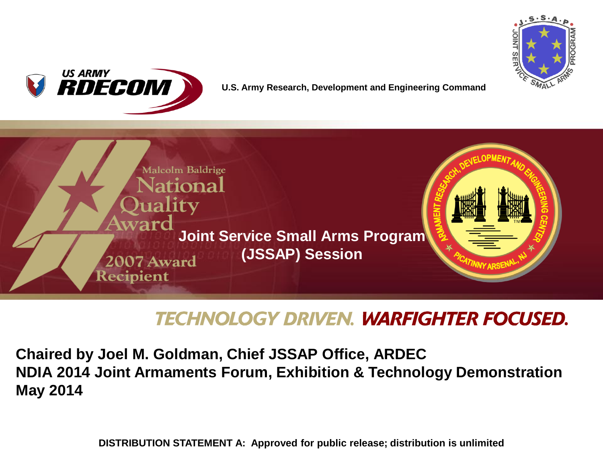



**U.S. Army Research, Development and Engineering Command**



# **TECHNOLOGY DRIVEN. WARFIGHTER FOCUSED.**

**Chaired by Joel M. Goldman, Chief JSSAP Office, ARDEC NDIA 2014 Joint Armaments Forum, Exhibition & Technology Demonstration May 2014**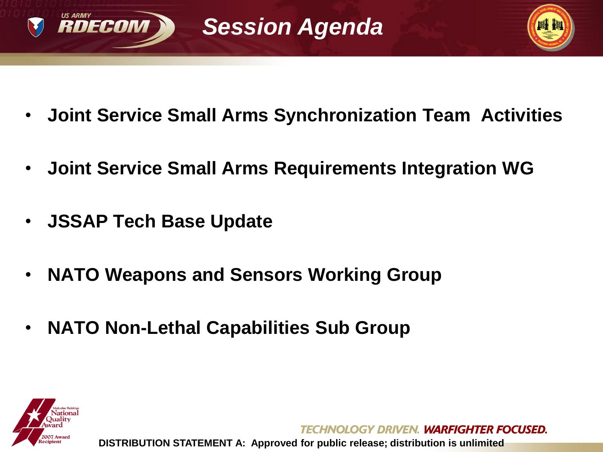



- **Joint Service Small Arms Synchronization Team Activities**
- **Joint Service Small Arms Requirements Integration WG**
- **JSSAP Tech Base Update**
- **NATO Weapons and Sensors Working Group**
- **NATO Non-Lethal Capabilities Sub Group**



OLOGY DRIVEN. WARFIGHTER FOCUSED. **DISTRIBUTION STATEMENT A: Approved for public release; distribution is unlimited**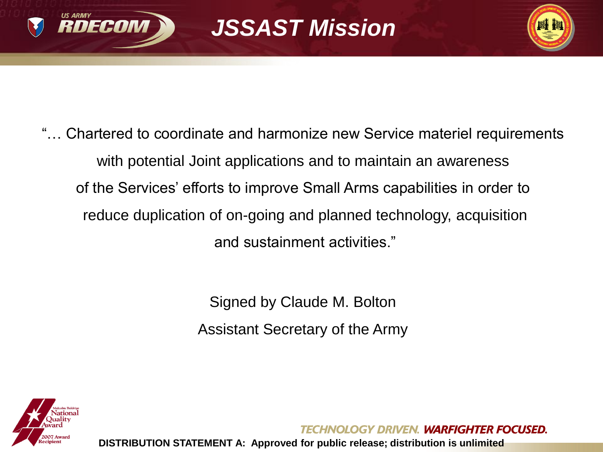



"… Chartered to coordinate and harmonize new Service materiel requirements with potential Joint applications and to maintain an awareness of the Services' efforts to improve Small Arms capabilities in order to reduce duplication of on-going and planned technology, acquisition and sustainment activities."

> Signed by Claude M. Bolton Assistant Secretary of the Army



OLOGY DRIVEN. WARFIGHTER FOCUSED.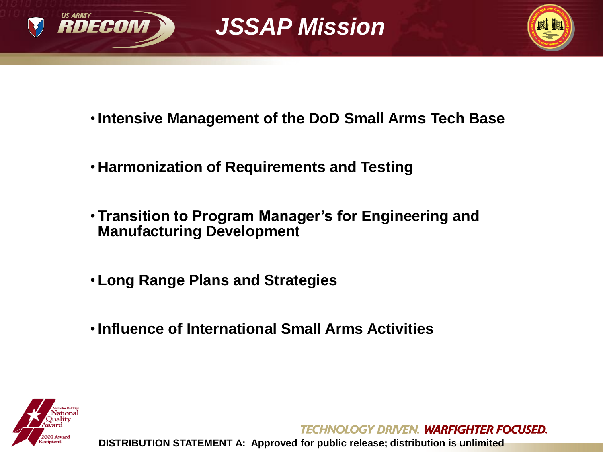





- •**Intensive Management of the DoD Small Arms Tech Base**
- **Harmonization of Requirements and Testing**
- **Transition to Program Manager's for Engineering and Manufacturing Development**
- **Long Range Plans and Strategies**
- •**Influence of International Small Arms Activities**



**TECHNOLOGY DRIVEN, WARFIGHTER FOCUSED.**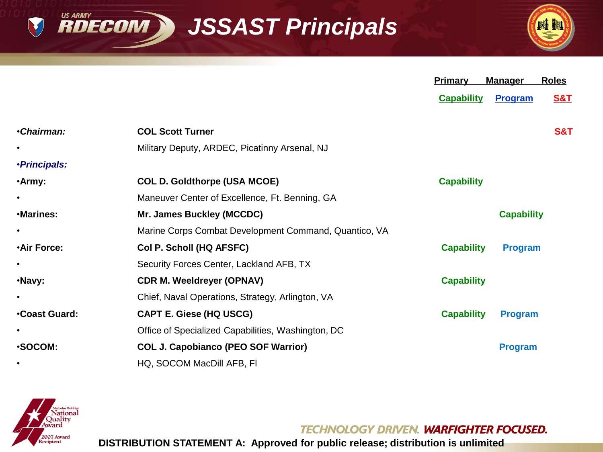*JSSAST Principals*



|                      |                                                       | Primary           | <b>Manager</b>    | <b>Roles</b>   |
|----------------------|-------------------------------------------------------|-------------------|-------------------|----------------|
|                      |                                                       | <b>Capability</b> | <b>Program</b>    | <u>S&amp;T</u> |
| •Chairman:           | <b>COL Scott Turner</b>                               |                   |                   | <b>S&amp;T</b> |
|                      | Military Deputy, ARDEC, Picatinny Arsenal, NJ         |                   |                   |                |
| · <b>Principals:</b> |                                                       |                   |                   |                |
| •Army:               | <b>COL D. Goldthorpe (USA MCOE)</b>                   | <b>Capability</b> |                   |                |
| $\bullet$            | Maneuver Center of Excellence, Ft. Benning, GA        |                   |                   |                |
| ·Marines:            | Mr. James Buckley (MCCDC)                             |                   | <b>Capability</b> |                |
| $\bullet$            | Marine Corps Combat Development Command, Quantico, VA |                   |                   |                |
| <b>.Air Force:</b>   | Col P. Scholl (HQ AFSFC)                              | <b>Capability</b> | <b>Program</b>    |                |
| ٠                    | Security Forces Center, Lackland AFB, TX              |                   |                   |                |
| ·Navy:               | <b>CDR M. Weeldreyer (OPNAV)</b>                      | <b>Capability</b> |                   |                |
| ٠                    | Chief, Naval Operations, Strategy, Arlington, VA      |                   |                   |                |
| <b>Coast Guard:</b>  | CAPT E. Giese (HQ USCG)                               | <b>Capability</b> | <b>Program</b>    |                |
| $\bullet$            | Office of Specialized Capabilities, Washington, DC    |                   |                   |                |
| ·SOCOM:              | <b>COL J. Capobianco (PEO SOF Warrior)</b>            |                   | <b>Program</b>    |                |
| $\bullet$            | HQ, SOCOM MacDill AFB, FI                             |                   |                   |                |



**US ARMY** 

V

**RDECOM** 

**TECHNOLOGY DRIVEN. WARFIGHTER FOCUSED.**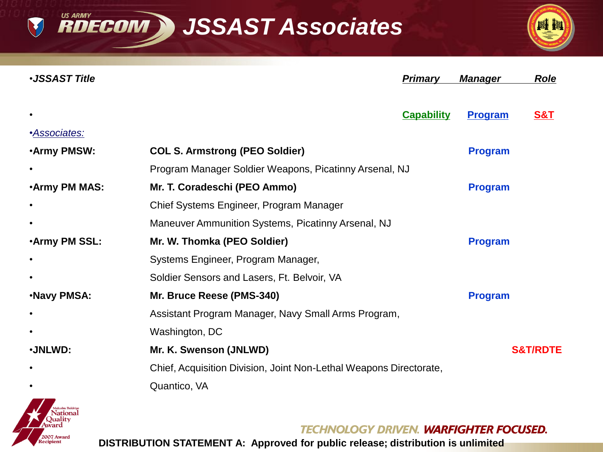**RDECOM > JSSAST Associates** 

V

2007 Award lecipient



| <b>·JSSAST Title</b> |                                                                    | <b>Primary</b>           | <b>Manager</b> | <b>Role</b>         |
|----------------------|--------------------------------------------------------------------|--------------------------|----------------|---------------------|
|                      |                                                                    | <b>Capability</b>        | Program        | <b>S&amp;T</b>      |
| · <b>Associates:</b> |                                                                    |                          |                |                     |
| <b>Army PMSW:</b>    | <b>COL S. Armstrong (PEO Soldier)</b>                              |                          | <b>Program</b> |                     |
|                      | Program Manager Soldier Weapons, Picatinny Arsenal, NJ             |                          |                |                     |
| <b>.Army PM MAS:</b> | Mr. T. Coradeschi (PEO Ammo)                                       |                          | <b>Program</b> |                     |
|                      | Chief Systems Engineer, Program Manager                            |                          |                |                     |
|                      | Maneuver Ammunition Systems, Picatinny Arsenal, NJ                 |                          |                |                     |
| <b>.Army PM SSL:</b> | Mr. W. Thomka (PEO Soldier)                                        |                          | <b>Program</b> |                     |
|                      | Systems Engineer, Program Manager,                                 |                          |                |                     |
|                      | Soldier Sensors and Lasers, Ft. Belvoir, VA                        |                          |                |                     |
| <b>.Navy PMSA:</b>   | Mr. Bruce Reese (PMS-340)                                          |                          | <b>Program</b> |                     |
|                      | Assistant Program Manager, Navy Small Arms Program,                |                          |                |                     |
|                      | Washington, DC                                                     |                          |                |                     |
| ·JNLWD:              | Mr. K. Swenson (JNLWD)                                             |                          |                | <b>S&amp;T/RDTE</b> |
|                      | Chief, Acquisition Division, Joint Non-Lethal Weapons Directorate, |                          |                |                     |
|                      | Quantico, VA                                                       |                          |                |                     |
|                      |                                                                    | av Britell Mareiciter fa |                |                     |

**TECHNOLOGY DRIVEN. WARFIGHTER FOCUSED.**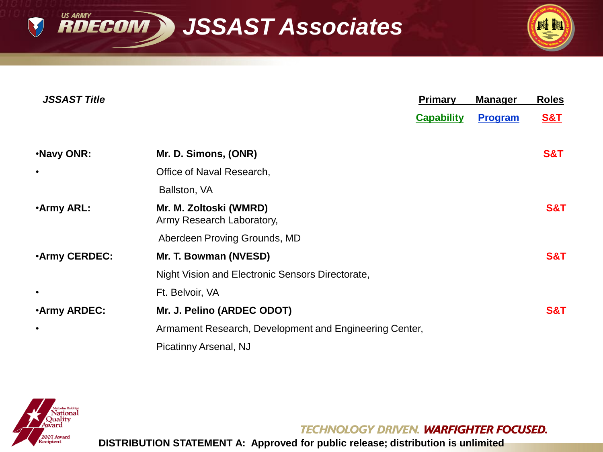**RDECOM > JSSAST Associates** 



| <b>JSSAST Title</b> |                                                        | <b>Primary</b>    | <b>Manager</b> | <b>Roles</b>   |
|---------------------|--------------------------------------------------------|-------------------|----------------|----------------|
|                     |                                                        | <b>Capability</b> | <b>Program</b> | <b>S&amp;T</b> |
| .Navy ONR:          | Mr. D. Simons, (ONR)                                   |                   |                | <b>S&amp;T</b> |
| $\bullet$           | Office of Naval Research,                              |                   |                |                |
|                     | Ballston, VA                                           |                   |                |                |
| <b>Army ARL:</b>    | Mr. M. Zoltoski (WMRD)<br>Army Research Laboratory,    |                   |                | S&T            |
|                     | Aberdeen Proving Grounds, MD                           |                   |                |                |
| <b>Army CERDEC:</b> | Mr. T. Bowman (NVESD)                                  |                   |                | <b>S&amp;T</b> |
|                     | Night Vision and Electronic Sensors Directorate,       |                   |                |                |
| $\bullet$           | Ft. Belvoir, VA                                        |                   |                |                |
| <b>Army ARDEC:</b>  | Mr. J. Pelino (ARDEC ODOT)                             |                   |                | S&T            |
| $\bullet$           | Armament Research, Development and Engineering Center, |                   |                |                |
|                     | Picatinny Arsenal, NJ                                  |                   |                |                |



**US ARMY** 

V

**TECHNOLOGY DRIVEN. WARFIGHTER FOCUSED.**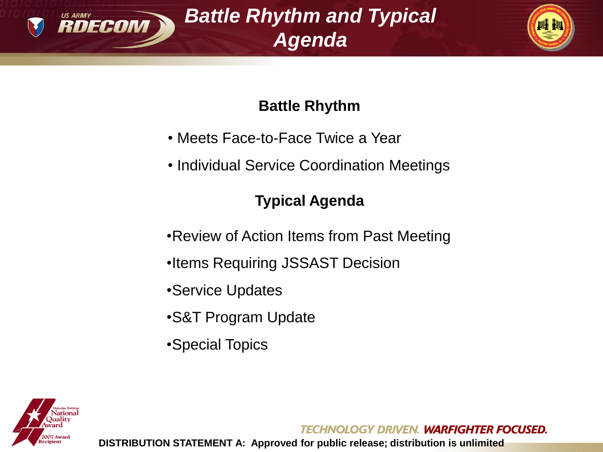

*Battle Rhythm and Typical Agenda*



## **Battle Rhythm**

- Meets Face-to-Face Twice a Year
- Individual Service Coordination Meetings

## **Typical Agenda**

- •Review of Action Items from Past Meeting
- •Items Requiring JSSAST Decision
- •Service Updates
- •S&T Program Update
- •Special Topics



**TECHNOLOGY DRIVEN. WARFIGHTER FOCUSED.**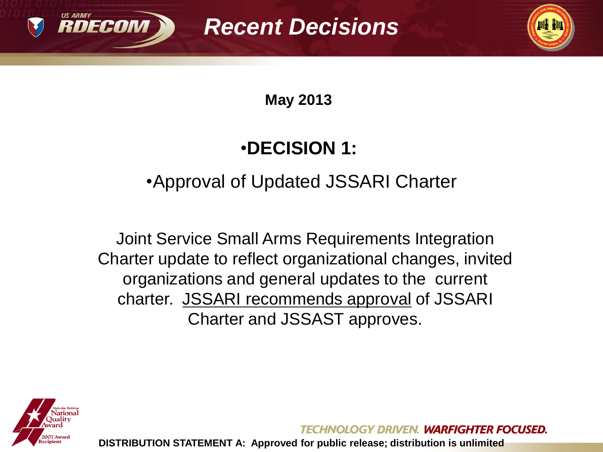



**May 2013** 

# •**DECISION 1:**

# •Approval of Updated JSSARI Charter

Joint Service Small Arms Requirements Integration Charter update to reflect organizational changes, invited organizations and general updates to the current charter. JSSARI recommends approval of JSSARI Charter and JSSAST approves.



HNOLOGY DRIVEN. **WARFIGHTER FOCUSED.**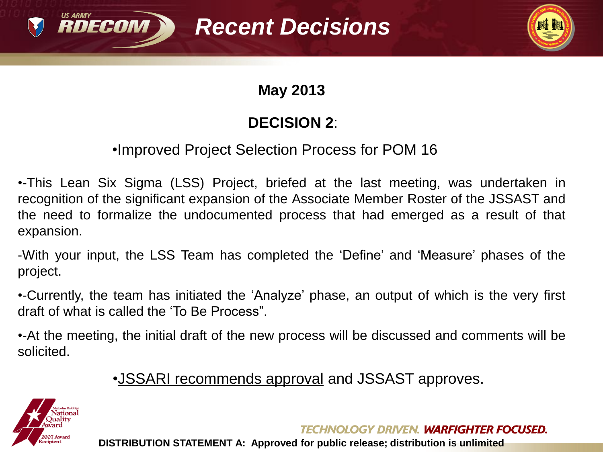



## **May 2013**

## **DECISION 2**:

#### •Improved Project Selection Process for POM 16

•-This Lean Six Sigma (LSS) Project, briefed at the last meeting, was undertaken in recognition of the significant expansion of the Associate Member Roster of the JSSAST and the need to formalize the undocumented process that had emerged as a result of that expansion.

-With your input, the LSS Team has completed the 'Define' and 'Measure' phases of the project.

•-Currently, the team has initiated the 'Analyze' phase, an output of which is the very first draft of what is called the 'To Be Process".

•-At the meeting, the initial draft of the new process will be discussed and comments will be solicited.

•JSSARI recommends approval and JSSAST approves.



**TECHNOLOGY DRIVEN, WARFIGHTER FOCUSED.**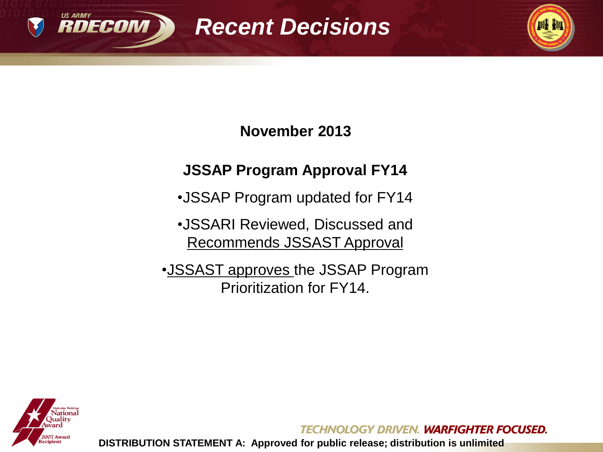



**November 2013**

## **JSSAP Program Approval FY14**

- •JSSAP Program updated for FY14
- •JSSARI Reviewed, Discussed and Recommends JSSAST Approval
- •JSSAST approves the JSSAP Program Prioritization for FY14.



**TECHNOLOGY DRIVEN, WARFIGHTER FOCUSED.**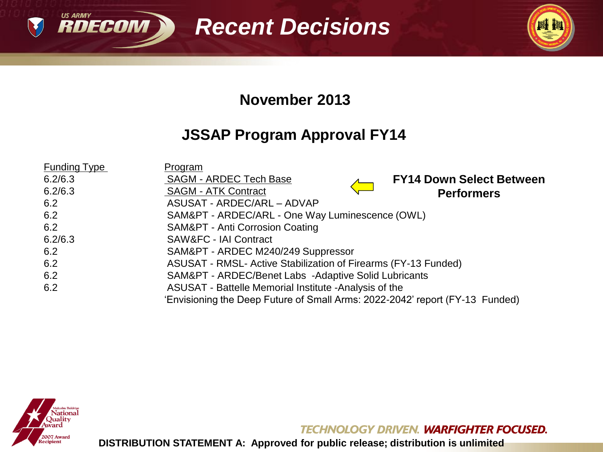



#### **November 2013**

## **JSSAP Program Approval FY14**

| <b>Funding Type</b> | <b>Program</b>                                                               |
|---------------------|------------------------------------------------------------------------------|
| 6.2/6.3             | <b>SAGM - ARDEC Tech Base</b><br><b>FY14 Down Select Between</b>             |
| 6.2/6.3             | <b>SAGM - ATK Contract</b><br><b>Performers</b>                              |
| 6.2                 | ASUSAT - ARDEC/ARL - ADVAP                                                   |
| 6.2                 | SAM&PT - ARDEC/ARL - One Way Luminescence (OWL)                              |
| 6.2                 | SAM&PT - Anti Corrosion Coating                                              |
| 6.2/6.3             | <b>SAW&amp;FC - IAI Contract</b>                                             |
| 6.2                 | SAM&PT - ARDEC M240/249 Suppressor                                           |
| 6.2                 | ASUSAT - RMSL- Active Stabilization of Firearms (FY-13 Funded)               |
| 6.2                 | SAM&PT - ARDEC/Benet Labs -Adaptive Solid Lubricants                         |
| 6.2                 | ASUSAT - Battelle Memorial Institute - Analysis of the                       |
|                     | 'Envisioning the Deep Future of Small Arms: 2022-2042' report (FY-13 Funded) |



**US ARMY** 

**TECHNOLOGY DRIVEN. WARFIGHTER FOCUSED.**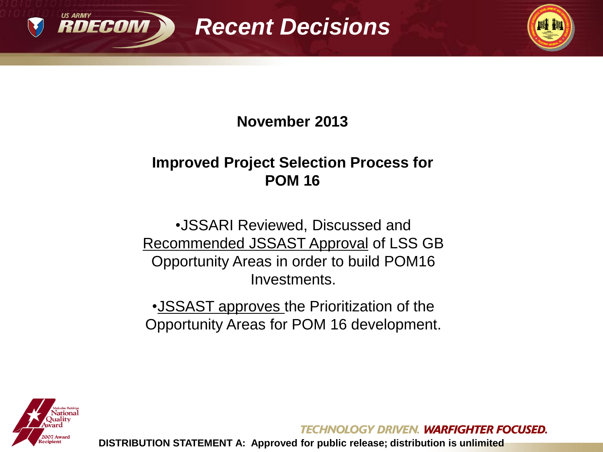



#### **November 2013**

#### **Improved Project Selection Process for POM 16**

•JSSARI Reviewed, Discussed and Recommended JSSAST Approval of LSS GB Opportunity Areas in order to build POM16 Investments.

•JSSAST approves the Prioritization of the Opportunity Areas for POM 16 development.



**TECHNOLOGY DRIVEN. WARFIGHTER FOCUSED.**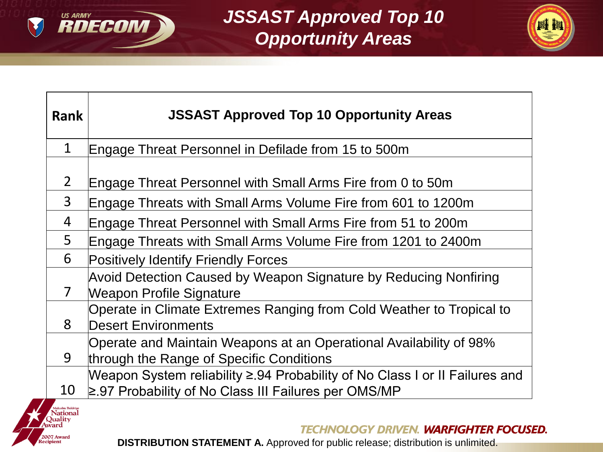

Quality<br>ward

**2007 Award** ecipient

*JSSAST Approved Top 10 Opportunity Areas*



| <b>Rank</b>      | <b>JSSAST Approved Top 10 Opportunity Areas</b>                                                                                           |
|------------------|-------------------------------------------------------------------------------------------------------------------------------------------|
| $\mathbf{1}$     | Engage Threat Personnel in Defilade from 15 to 500m                                                                                       |
| $2^{\circ}$      | Engage Threat Personnel with Small Arms Fire from 0 to 50m                                                                                |
| 3                | Engage Threats with Small Arms Volume Fire from 601 to 1200m                                                                              |
| 4                | Engage Threat Personnel with Small Arms Fire from 51 to 200m                                                                              |
| 5                | Engage Threats with Small Arms Volume Fire from 1201 to 2400m                                                                             |
| 6                | <b>Positively Identify Friendly Forces</b>                                                                                                |
| $\overline{7}$   | Avoid Detection Caused by Weapon Signature by Reducing Nonfiring<br>Weapon Profile Signature                                              |
| 8                | Operate in Climate Extremes Ranging from Cold Weather to Tropical to<br><b>Desert Environments</b>                                        |
| 9                | Operate and Maintain Weapons at an Operational Availability of 98%<br>through the Range of Specific Conditions                            |
| 10               | Weapon System reliability ≥.94 Probability of No Class I or II Failures and<br>$\geq$ .97 Probability of No Class III Failures per OMS/MP |
| Malcolm Baldrige |                                                                                                                                           |

**TECHNOLOGY DRIVEN. WARFIGHTER FOCUSED.**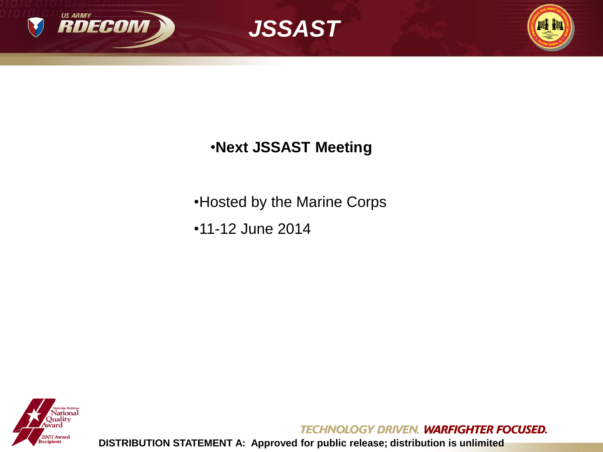





## •**Next JSSAST Meeting**

•Hosted by the Marine Corps

•11-12 June 2014



**TECHNOLOGY DRIVEN. WARFIGHTER FOCUSED.**